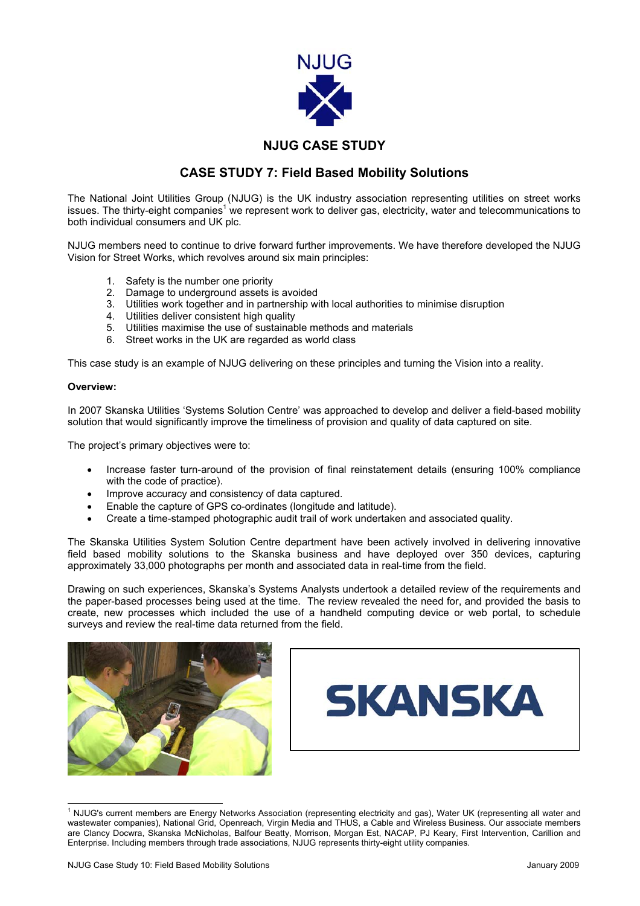

## **NJUG CASE STUDY**

## **CASE STUDY 7: Field Based Mobility Solutions**

The National Joint Utilities Group (NJUG) is the UK industry association representing utilities on street works issues.The thirty-eight companies<sup>1</sup> we represent work to deliver gas, electricity, water and telecommunications to both individual consumers and UK plc.

NJUG members need to continue to drive forward further improvements. We have therefore developed the NJUG Vision for Street Works, which revolves around six main principles:

- 1. Safety is the number one priority
- 2. Damage to underground assets is avoided
- 3. Utilities work together and in partnership with local authorities to minimise disruption
- 4. Utilities deliver consistent high quality
- 5. Utilities maximise the use of sustainable methods and materials
- 6. Street works in the UK are regarded as world class

This case study is an example of NJUG delivering on these principles and turning the Vision into a reality.

## **Overview:**

In 2007 Skanska Utilities 'Systems Solution Centre' was approached to develop and deliver a field-based mobility solution that would significantly improve the timeliness of provision and quality of data captured on site.

The project's primary objectives were to:

- Increase faster turn-around of the provision of final reinstatement details (ensuring 100% compliance with the code of practice).
- Improve accuracy and consistency of data captured.
- Enable the capture of GPS co-ordinates (longitude and latitude).
- Create a time-stamped photographic audit trail of work undertaken and associated quality.

The Skanska Utilities System Solution Centre department have been actively involved in delivering innovative field based mobility solutions to the Skanska business and have deployed over 350 devices, capturing approximately 33,000 photographs per month and associated data in real-time from the field.

Drawing on such experiences, Skanska's Systems Analysts undertook a detailed review of the requirements and the paper-based processes being used at the time. The review revealed the need for, and provided the basis to create, new processes which included the use of a handheld computing device or web portal, to schedule surveys and review the real-time data returned from the field.



<span id="page-0-0"></span>

 $\frac{1}{1}$  NJUG's current members are Energy Networks Association (representing electricity and gas), Water UK (representing all water and wastewater companies), National Grid, Openreach, Virgin Media and THUS, a Cable and Wireless Business. Our associate members are Clancy Docwra, Skanska McNicholas, Balfour Beatty, Morrison, Morgan Est, NACAP, PJ Keary, First Intervention, Carillion and Enterprise. Including members through trade associations, NJUG represents thirty-eight utility companies.